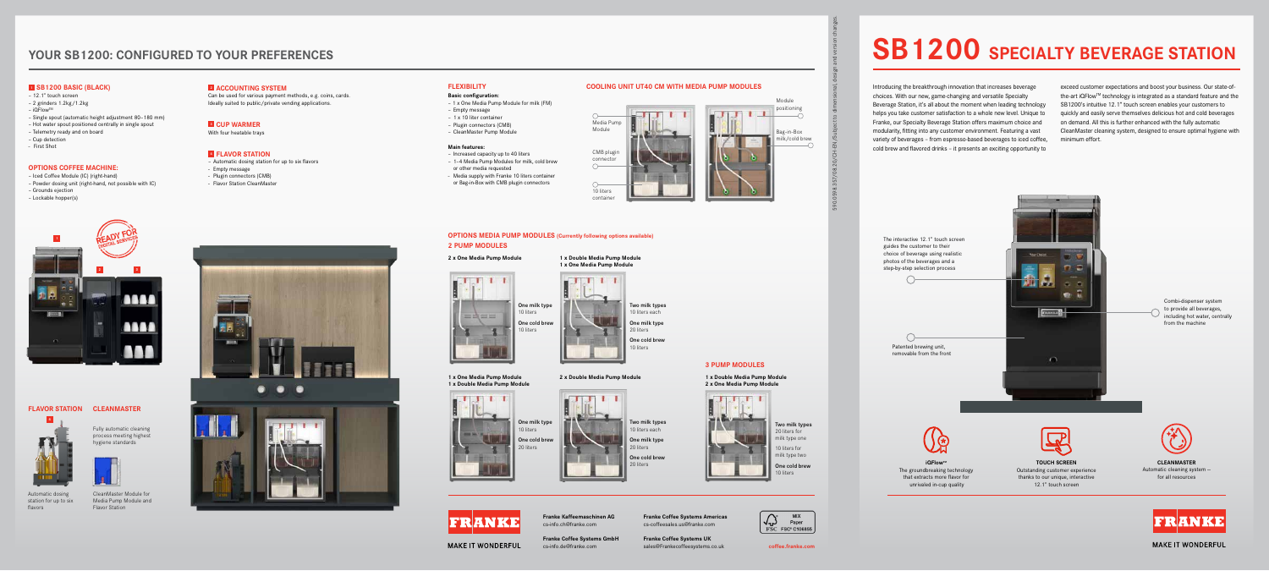## **2 3 TITT** اس دا  $B<sub>0</sub>$  $\sqrt{2}$ **ATT**  $-0.1$ a a a

590.0598.357/08.20/CH-EN/Subject to dimensional, design and version changes.

## **YOUR SB1200: CONFIGURED TO YOUR PREFERENCES**

**Franke Coffee Systems GmbH MAKE IT WONDERFUL** 

**Franke Coffee Systems Americas** cs-coffeesales.us@franke.com

**Franke Kaffeemaschinen AG** cs-info.ch@franke.com

**Franke Coffee Systems UK** sales@Frankecoffeesystems.co.uk cs-info.de@franke.com **coffee.franke.com**



# **SB1200 SPECIALTY BEVERAGE STATION**

Introducing the breakthrough innovation that increases beverage choices. With our new, game-changing and versatile Specialty Beverage Station, it's all about the moment when leading technology helps you take customer satisfaction to a whole new level. Unique to Franke, our Specialty Beverage Station offers maximum choice and modularity, fitting into any customer environment. Featuring a vast variety of beverages – from espresso-based beverages to iced coffee, cold brew and flavored drinks – it presents an exciting opportunity to

exceed customer expectations and boost your business. Our state-ofthe-art iQFlow™ technology is integrated as a standard feature and the SB1200's intuitive 12.1" touch screen enables your customers to quickly and easily serve themselves delicious hot and cold beverages on demand. All this is further enhanced with the fully automatic CleanMaster cleaning system, designed to ensure optimal hygiene with minimum effort.

### **<sup>1</sup> SB1200 BASIC (BLACK)**

- 12.1" touch screen
- 2 grinders 1.2kg /1.2kg
- $-$  iQFlow<sup>TM</sup>
- Single spout (automatic height adjustment 80–180 mm)
- Hot water spout positioned centrally in single spout
- Telemetry ready and on board
- Cup detection
- First Shot

### **OPTIONS COFFEE MACHINE:**

- Iced Coffee Module (IC) (right-hand)
- Powder dosing unit (right-hand, not possible with IC) – Grounds ejection
- Lockable hopper(s)

### **<sup>2</sup> ACCOUNTING SYSTEM**

Can be used for various payment methods, e.g. coins, cards. Ideally suited to public/private vending applications.

### **3 CUP WARMER**

With four heatable trays

### **<sup>4</sup> FLAVOR STATION**

- Automatic dosing station for up to six flavors
- Empty message
- Plugin connectors (CMB)
- Flavor Station CleanMaster





**MAKE IT WONDERFUL** 

CleanMaster Module for Media Pump Module and Flavor Station



### **CLEANMASTER FLAVOR STATION**

Fully automatic cleaning process meeting highest hygiene standards

Automatic dosing station for up to six flavors



### **FLEXIBILITY COOLING UNIT UT40 CM WITH MEDIA PUMP MODULES**



### **Basic configuration:**

- 1 x One Media Pump Module for milk (FM)
- Empty message
- 1 x 10 liter container
- Plugin connectors (CMB)
- CleanMaster Pump Module

### **Main features:**

- Increased capacity up to 40 liters – 1–4 Media Pump Modules for milk, cold brew
- or other media requested
- Media supply with Franke 10 liters container or Bag-in-Box with CMB plugin connectors





# One milk type 10 liters One cold brew 20 liters

**1 x One Media Pump Module**











# **The Second Second**





One milk type 20 liters One cold brew 20 liters



Two milk types 10 liters each One milk type 20 liters

One cold brew 10 liters

### **1 x Double Media Pump Module 1 x One Media Pump Module**

**2 x Double Media Pump Module** 

### **OPTIONS MEDIA PUMP MODULES (Currently following options available) 2 PUMP MODULES**

Two milk types 20 liters for milk type one 10 liters for milk type two One cold brew 10 liters

**1 x Double Media Pump Module 2 x One Media Pump Module**



**3 PUMP MODULES**